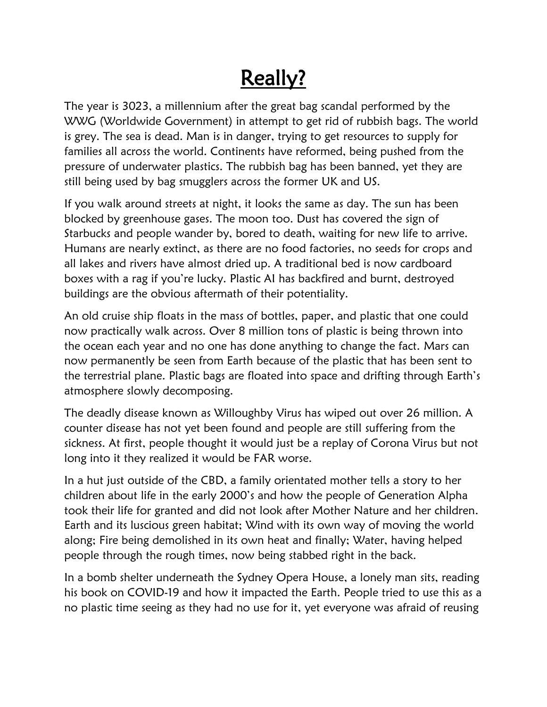## Really?

The year is 3023, a millennium after the great bag scandal performed by the WWG (Worldwide Government) in attempt to get rid of rubbish bags. The world is grey. The sea is dead. Man is in danger, trying to get resources to supply for families all across the world. Continents have reformed, being pushed from the pressure of underwater plastics. The rubbish bag has been banned, yet they are still being used by bag smugglers across the former UK and US.

If you walk around streets at night, it looks the same as day. The sun has been blocked by greenhouse gases. The moon too. Dust has covered the sign of Starbucks and people wander by, bored to death, waiting for new life to arrive. Humans are nearly extinct, as there are no food factories, no seeds for crops and all lakes and rivers have almost dried up. A traditional bed is now cardboard boxes with a rag if you're lucky. Plastic AI has backfired and burnt, destroyed buildings are the obvious aftermath of their potentiality.

An old cruise ship floats in the mass of bottles, paper, and plastic that one could now practically walk across. Over 8 million tons of plastic is being thrown into the ocean each year and no one has done anything to change the fact. Mars can now permanently be seen from Earth because of the plastic that has been sent to the terrestrial plane. Plastic bags are floated into space and drifting through Earth's atmosphere slowly decomposing.

The deadly disease known as Willoughby Virus has wiped out over 26 million. A counter disease has not yet been found and people are still suffering from the sickness. At first, people thought it would just be a replay of Corona Virus but not long into it they realized it would be FAR worse.

In a hut just outside of the CBD, a family orientated mother tells a story to her children about life in the early 2000's and how the people of Generation Alpha took their life for granted and did not look after Mother Nature and her children. Earth and its luscious green habitat; Wind with its own way of moving the world along; Fire being demolished in its own heat and finally; Water, having helped people through the rough times, now being stabbed right in the back.

In a bomb shelter underneath the Sydney Opera House, a lonely man sits, reading his book on COVID-19 and how it impacted the Earth. People tried to use this as a no plastic time seeing as they had no use for it, yet everyone was afraid of reusing